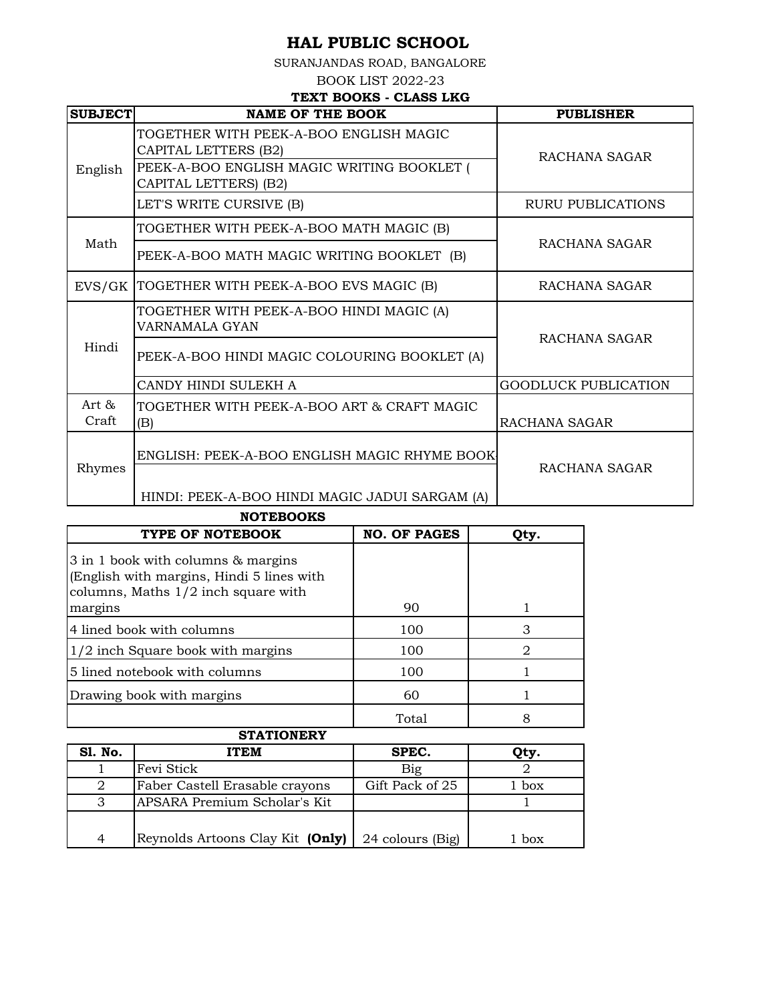SURANJANDAS ROAD, BANGALORE

BOOK LIST 2022-23

## **TEXT BOOKS - CLASS LKG**

| <b>SUBJECT</b> | <b>NAME OF THE BOOK</b>                                             | <b>PUBLISHER</b>            |  |
|----------------|---------------------------------------------------------------------|-----------------------------|--|
|                | TOGETHER WITH PEEK-A-BOO ENGLISH MAGIC<br>CAPITAL LETTERS (B2)      | RACHANA SAGAR               |  |
| English        | PEEK-A-BOO ENGLISH MAGIC WRITING BOOKLET (<br>CAPITAL LETTERS) (B2) |                             |  |
|                | LET'S WRITE CURSIVE (B)                                             | RURU PUBLICATIONS           |  |
|                | TOGETHER WITH PEEK-A-BOO MATH MAGIC (B)                             |                             |  |
| Math           | PEEK-A-BOO MATH MAGIC WRITING BOOKLET (B)                           | RACHANA SAGAR               |  |
| EVS/GK         | TOGETHER WITH PEEK-A-BOO EVS MAGIC (B)                              | RACHANA SAGAR               |  |
| Hindi          | TOGETHER WITH PEEK-A-BOO HINDI MAGIC (A)<br>VARNAMALA GYAN          | RACHANA SAGAR               |  |
|                | PEEK-A-BOO HINDI MAGIC COLOURING BOOKLET (A)                        |                             |  |
|                | CANDY HINDI SULEKH A                                                | <b>GOODLUCK PUBLICATION</b> |  |
| Art &<br>Craft | TOGETHER WITH PEEK-A-BOO ART & CRAFT MAGIC<br>(B)                   | RACHANA SAGAR               |  |
|                | ENGLISH: PEEK-A-BOO ENGLISH MAGIC RHYME BOOK                        |                             |  |
| Rhymes         | HINDI: PEEK-A-BOO HINDI MAGIC JADUI SARGAM (A)                      | RACHANA SAGAR               |  |

**NOTEBOOKS**

| TYPE OF NOTEBOOK                                                                                                         | <b>NO. OF PAGES</b> | Qty. |
|--------------------------------------------------------------------------------------------------------------------------|---------------------|------|
| 3 in 1 book with columns & margins<br>(English with margins, Hindi 5 lines with<br>columns, Maths $1/2$ inch square with |                     |      |
| margins                                                                                                                  | 90                  |      |
| 4 lined book with columns                                                                                                | 100                 | З    |
| 1/2 inch Square book with margins                                                                                        | 100                 | 2    |
| 5 lined notebook with columns                                                                                            | 100                 |      |
| Drawing book with margins                                                                                                | 60                  |      |
|                                                                                                                          | Total               | 8    |
| <b>STATIONFDV</b>                                                                                                        |                     |      |

| SIAIIUNLKI     |                                  |                  |       |
|----------------|----------------------------------|------------------|-------|
| <b>S1. No.</b> | ITEM                             | SPEC.            | Qty.  |
|                | Fevi Stick                       | Big              |       |
|                | Faber Castell Erasable crayons   | Gift Pack of 25  | box   |
| 3              | APSARA Premium Scholar's Kit     |                  |       |
|                |                                  |                  |       |
| $\overline{4}$ | Reynolds Artoons Clay Kit (Only) | 24 colours (Big) | . box |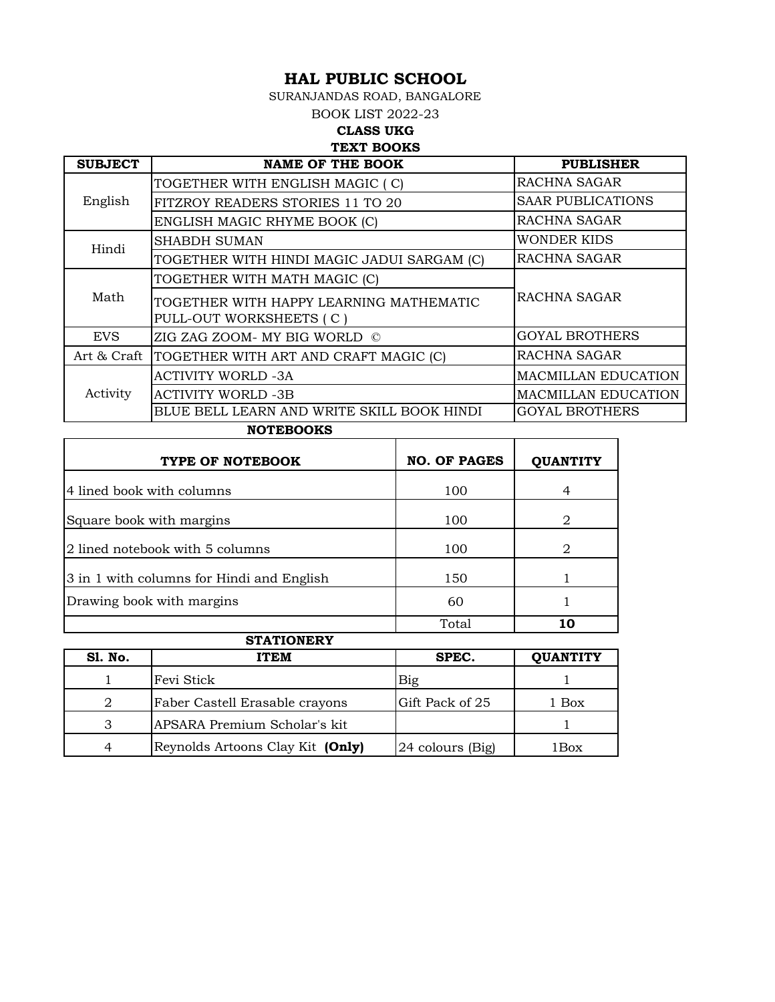SURANJANDAS ROAD, BANGALORE

BOOK LIST 2022-23

#### **CLASS UKG TEXT BOOKS**

| <b>SUBJECT</b> | <b>NAME OF THE BOOK</b>                                            | <b>PUBLISHER</b>           |
|----------------|--------------------------------------------------------------------|----------------------------|
|                | TOGETHER WITH ENGLISH MAGIC (C)                                    | RACHNA SAGAR               |
| English        | FITZROY READERS STORIES 11 TO 20                                   | <b>SAAR PUBLICATIONS</b>   |
|                | ENGLISH MAGIC RHYME BOOK (C)                                       | RACHNA SAGAR               |
| Hindi          | <b>SHABDH SUMAN</b>                                                | <b>WONDER KIDS</b>         |
|                | TOGETHER WITH HINDI MAGIC JADUI SARGAM (C)                         | RACHNA SAGAR               |
| Math           | TOGETHER WITH MATH MAGIC (C)                                       |                            |
|                | TOGETHER WITH HAPPY LEARNING MATHEMATIC<br>PULL-OUT WORKSHEETS (C) | RACHNA SAGAR               |
| <b>EVS</b>     | ZIG ZAG ZOOM- MY BIG WORLD ©                                       | <b>GOYAL BROTHERS</b>      |
| Art & Craft    | TOGETHER WITH ART AND CRAFT MAGIC (C)                              | RACHNA SAGAR               |
|                | <b>ACTIVITY WORLD -3A</b>                                          | <b>MACMILLAN EDUCATION</b> |
| Activity       | <b>ACTIVITY WORLD -3B</b>                                          | <b>MACMILLAN EDUCATION</b> |
|                | BLUE BELL LEARN AND WRITE SKILL BOOK HINDI                         | <b>GOYAL BROTHERS</b>      |

| <b>NOTEBOOKS</b> |
|------------------|
|                  |

| TYPE OF NOTEBOOK                          | <b>NO. OF PAGES</b> | <b>OUANTITY</b> |
|-------------------------------------------|---------------------|-----------------|
| 4 lined book with columns                 | 100                 |                 |
| Square book with margins                  | 100                 | 2               |
| 2 lined notebook with 5 columns           | 100                 | 2               |
| 3 in 1 with columns for Hindi and English | 150                 |                 |
| Drawing book with margins                 | 60                  |                 |
| <b>CTATIONDDV</b>                         | Total               | 10              |

|                | STATIONERY                       |                  |                 |
|----------------|----------------------------------|------------------|-----------------|
| <b>S1. No.</b> | <b>ITEM</b>                      | SPEC.            | <b>QUANTITY</b> |
|                | Fevi Stick                       | Big              |                 |
| 2              | Faber Castell Erasable crayons   | Gift Pack of 25  | 1 Box           |
| 3              | APSARA Premium Scholar's kit     |                  |                 |
| 4              | Reynolds Artoons Clay Kit (Only) | 24 colours (Big) | 1Box            |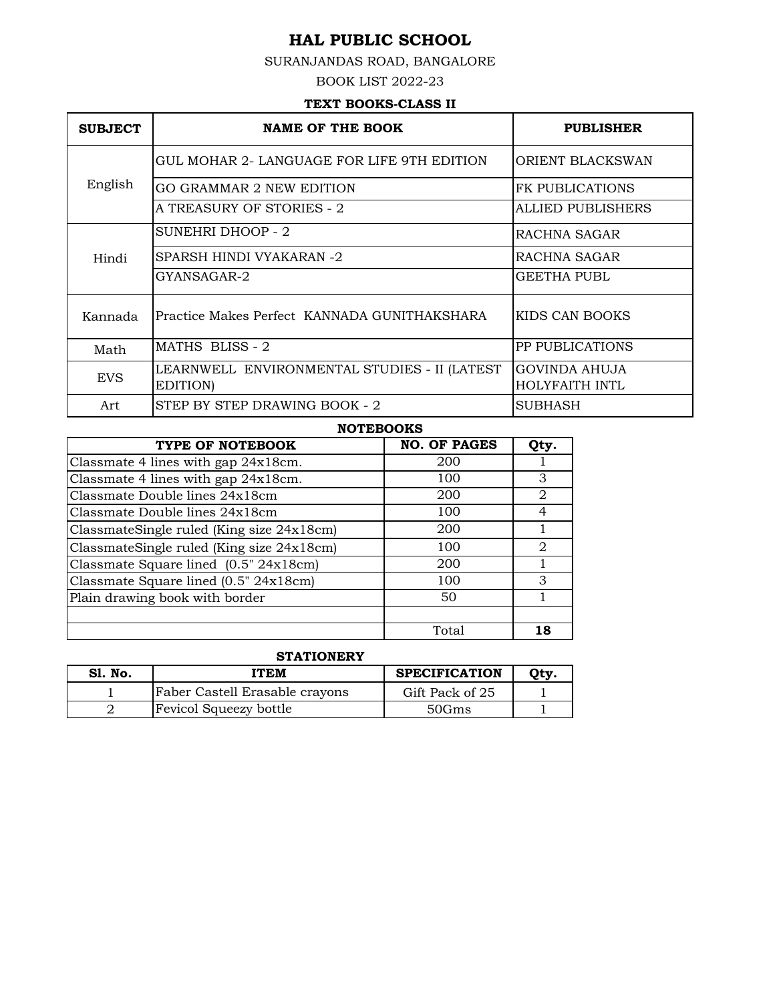## SURANJANDAS ROAD, BANGALORE

BOOK LIST 2022-23

### **TEXT BOOKS-CLASS II**

| <b>SUBJECT</b> | <b>NAME OF THE BOOK</b>                                  | <b>PUBLISHER</b>                       |
|----------------|----------------------------------------------------------|----------------------------------------|
|                | GUL MOHAR 2- LANGUAGE FOR LIFE 9TH EDITION               | ORIENT BLACKSWAN                       |
| English        | <b>GO GRAMMAR 2 NEW EDITION</b>                          | <b>FK PUBLICATIONS</b>                 |
|                | A TREASURY OF STORIES - 2                                | ALLIED PUBLISHERS                      |
|                | SUNEHRI DHOOP - 2                                        | RACHNA SAGAR                           |
| Hindi          | SPARSH HINDI VYAKARAN -2                                 | RACHNA SAGAR                           |
|                | GYANSAGAR-2                                              | GEETHA PUBL                            |
| Kannada        | Practice Makes Perfect KANNADA GUNITHAKSHARA             | KIDS CAN BOOKS                         |
| Math           | MATHS BLISS - 2                                          | PP PUBLICATIONS                        |
| <b>EVS</b>     | LEARNWELL ENVIRONMENTAL STUDIES - II (LATEST<br>EDITION) | GOVINDA AHUJA<br><b>HOLYFAITH INTL</b> |
| Art            | STEP BY STEP DRAWING BOOK - 2                            | SUBHASH                                |

#### **NOTEBOOKS**

| TYPE OF NOTEBOOK                          | <b>NO. OF PAGES</b> | Qty. |
|-------------------------------------------|---------------------|------|
| Classmate 4 lines with gap 24x18cm.       | 200                 |      |
| Classmate 4 lines with gap 24x18cm.       | 100                 | 3    |
| Classmate Double lines 24x18cm            | 200                 | 2    |
| Classmate Double lines 24x18cm            | 100                 | 4    |
| ClassmateSingle ruled (King size 24x18cm) | 200                 |      |
| ClassmateSingle ruled (King size 24x18cm) | 100                 | 2    |
| Classmate Square lined (0.5" 24x18cm)     | 200                 |      |
| Classmate Square lined (0.5" 24x18cm)     | 100                 | 3    |
| Plain drawing book with border            | 50                  |      |
|                                           |                     |      |
|                                           | Total               | 18   |

### **STATIONERY**

| <b>S1. No.</b> | <b>ITEM</b>                    | <b>SPECIFICATION</b> | Otv. |
|----------------|--------------------------------|----------------------|------|
|                | Faber Castell Erasable crayons | Gift Pack of 25      |      |
|                | <b>Fevicol Squeezy bottle</b>  | 50Gms                |      |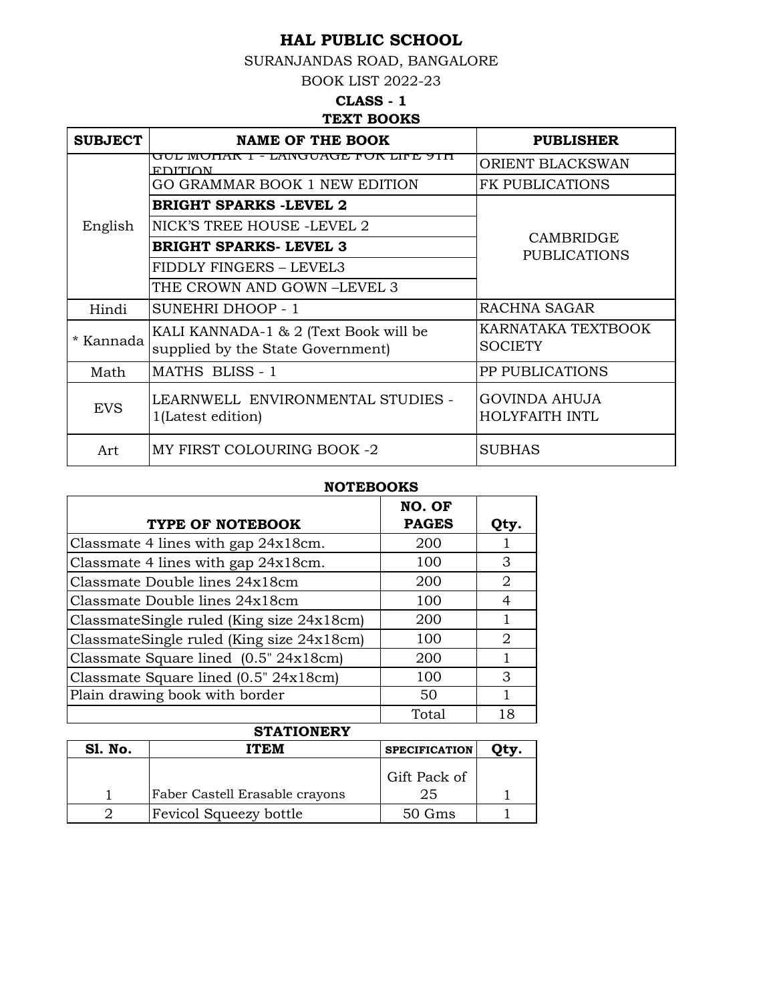SURANJANDAS ROAD, BANGALORE

BOOK LIST 2022-23

## **TEXT BOOKS CLASS - 1**

| <b>SUBJECT</b> | NAME OF THE BOOK                                                           | <b>PUBLISHER</b>                       |  |  |
|----------------|----------------------------------------------------------------------------|----------------------------------------|--|--|
|                | GUL MUNAR 1 - LANGUAGE FUR LIFE 91 H<br><b>FDITION</b>                     | ORIENT BLACKSWAN                       |  |  |
|                | GO GRAMMAR BOOK 1 NEW EDITION                                              | <b>FK PUBLICATIONS</b>                 |  |  |
|                | <b>BRIGHT SPARKS -LEVEL 2</b>                                              |                                        |  |  |
| English        | NICK'S TREE HOUSE -LEVEL 2                                                 |                                        |  |  |
|                | BRIGHT SPARKS- LEVEL 3                                                     | CAMBRIDGE<br><b>PUBLICATIONS</b>       |  |  |
|                | FIDDLY FINGERS - LEVEL3                                                    |                                        |  |  |
|                | THE CROWN AND GOWN –LEVEL 3                                                |                                        |  |  |
| Hindi          | <b>SUNEHRI DHOOP - 1</b>                                                   | RACHNA SAGAR                           |  |  |
| * Kannada      | KALI KANNADA-1 & 2 (Text Book will be<br>supplied by the State Government) | KARNATAKA TEXTBOOK<br><b>SOCIETY</b>   |  |  |
| Math           | MATHS BLISS - 1                                                            | PP PUBLICATIONS                        |  |  |
| <b>EVS</b>     | LEARNWELL ENVIRONMENTAL STUDIES -<br>1(Latest edition)                     | <b>GOVINDA AHUJA</b><br>HOLYFAITH INTL |  |  |
| Art            | MY FIRST COLOURING BOOK -2                                                 | <b>SUBHAS</b>                          |  |  |

## **NOTEBOOKS**

|                                           | NO. OF       |      |
|-------------------------------------------|--------------|------|
| TYPE OF NOTEBOOK                          | <b>PAGES</b> | Qty. |
| Classmate 4 lines with gap 24x18cm.       | 200          |      |
| Classmate 4 lines with gap 24x18cm.       | 100          | 3    |
| Classmate Double lines 24x18cm            | 200          | 2    |
| Classmate Double lines 24x18cm            | 100          | 4    |
| ClassmateSingle ruled (King size 24x18cm) | 200          |      |
| ClassmateSingle ruled (King size 24x18cm) | 100          | 2    |
| Classmate Square lined $(0.5" 24x18cm)$   | 200          |      |
| Classmate Square lined (0.5" 24x18cm)     | 100          | 3    |
| Plain drawing book with border            | 50           |      |
|                                           | Total        | 18   |

| <b>STATIONERY</b> |                                |                      |  |  |
|-------------------|--------------------------------|----------------------|--|--|
| Sl. No.           | ITEM                           | <b>SPECIFICATION</b> |  |  |
|                   | Faber Castell Erasable crayons | Gift Pack of<br>25   |  |  |
|                   | <b>Fevicol Squeezy bottle</b>  | $50$ Gms             |  |  |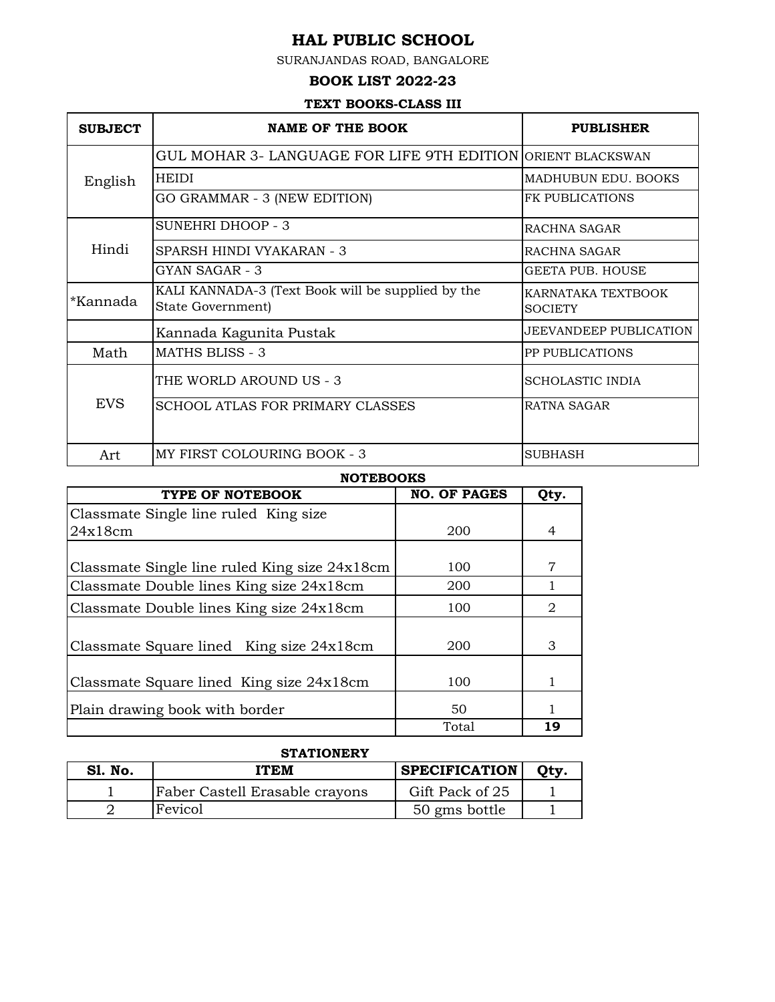SURANJANDAS ROAD, BANGALORE

### **BOOK LIST 2022-23**

#### **TEXT BOOKS-CLASS III**

| <b>SUBJECT</b> | <b>NAME OF THE BOOK</b>                                                | <b>PUBLISHER</b>                     |
|----------------|------------------------------------------------------------------------|--------------------------------------|
|                | GUL MOHAR 3- LANGUAGE FOR LIFE 9TH EDITION ORIENT BLACKSWAN            |                                      |
| English        | <b>HEIDI</b>                                                           | MADHUBUN EDU. BOOKS                  |
|                | GO GRAMMAR - 3 (NEW EDITION)                                           | <b>FK PUBLICATIONS</b>               |
|                | SUNEHRI DHOOP - 3                                                      | RACHNA SAGAR                         |
| Hindi          | SPARSH HINDI VYAKARAN - 3                                              | RACHNA SAGAR                         |
|                | GYAN SAGAR - 3                                                         | GEETA PUB. HOUSE                     |
| *Kannada       | KALI KANNADA-3 (Text Book will be supplied by the<br>State Government) | KARNATAKA TEXTBOOK<br><b>SOCIETY</b> |
|                | Kannada Kagunita Pustak                                                | <b>JEEVANDEEP PUBLICATION</b>        |
| Math           | <b>MATHS BLISS - 3</b>                                                 | <b>PP PUBLICATIONS</b>               |
|                | THE WORLD AROUND US - 3                                                | <b>SCHOLASTIC INDIA</b>              |
| <b>EVS</b>     | <b>SCHOOL ATLAS FOR PRIMARY CLASSES</b>                                | <b>RATNA SAGAR</b>                   |
| Art            | MY FIRST COLOURING BOOK - 3                                            | <b>SUBHASH</b>                       |

### **NOTEBOOKS**

| TYPE OF NOTEBOOK                              | <b>NO. OF PAGES</b> | Qty. |
|-----------------------------------------------|---------------------|------|
| Classmate Single line ruled King size         |                     |      |
| 24x18cm                                       | 200                 | 4    |
|                                               |                     |      |
| Classmate Single line ruled King size 24x18cm | 100                 | 7    |
| Classmate Double lines King size 24x18cm      | 200                 |      |
| Classmate Double lines King size 24x18cm      | 100                 | 2    |
| Classmate Square lined King size 24x18cm      | 200                 | 3    |
| Classmate Square lined King size 24x18cm      | 100                 | 1    |
| Plain drawing book with border                | 50                  |      |
|                                               | Total               | 19   |

### **STATIONERY**

| <b>S1. No.</b> | ITEM                           | <b>SPECIFICATION</b> |  |
|----------------|--------------------------------|----------------------|--|
|                | Faber Castell Erasable crayons | Gift Pack of 25      |  |
|                | Fevicol                        | 50 gms bottle        |  |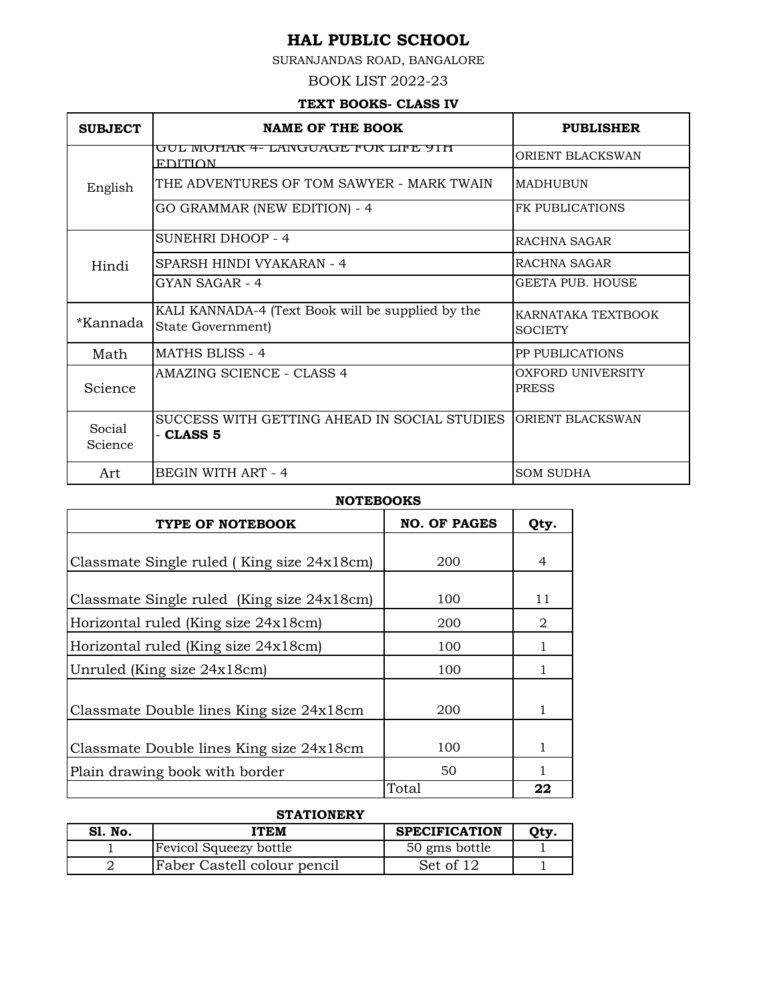SURANJANDAS ROAD, BANGALORE

#### BOOK LIST 2022-23

### **TEXT BOOKS- CLASS IV**

| <b>SUBJECT</b>    | <b>NAME OF THE BOOK</b>                                                | <b>PUBLISHER</b>                     |
|-------------------|------------------------------------------------------------------------|--------------------------------------|
|                   | <u>GUL MOHAR 4- LANGUAGE FOR LIFE 91 H</u><br><b>EDITION</b>           | ORIENT BLACKSWAN                     |
| English           | THE ADVENTURES OF TOM SAWYER - MARK TWAIN                              | <b>MADHUBUN</b>                      |
|                   | GO GRAMMAR (NEW EDITION) - 4                                           | <b>FK PUBLICATIONS</b>               |
|                   | SUNEHRI DHOOP - 4                                                      | RACHNA SAGAR                         |
| Hindi             | SPARSH HINDI VYAKARAN - 4                                              | RACHNA SAGAR                         |
|                   | GYAN SAGAR - 4                                                         | GEETA PUB. HOUSE                     |
| *Kannada          | KALI KANNADA-4 (Text Book will be supplied by the<br>State Government) | KARNATAKA TEXTBOOK<br><b>SOCIETY</b> |
| Math              | <b>MATHS BLISS - 4</b>                                                 | <b>PP PUBLICATIONS</b>               |
| Science           | AMAZING SCIENCE - CLASS 4                                              | OXFORD UNIVERSITY<br><b>PRESS</b>    |
| Social<br>Science | SUCCESS WITH GETTING AHEAD IN SOCIAL STUDIES<br>- CLASS 5              | ORIENT BLACKSWAN                     |
| Art               | BEGIN WITH ART - 4                                                     | <b>SOM SUDHA</b>                     |

**NOTEBOOKS**

| TYPE OF NOTEBOOK                           | <b>NO. OF PAGES</b> | Qty. |
|--------------------------------------------|---------------------|------|
|                                            |                     |      |
| Classmate Single ruled (King size 24x18cm) | 200                 | 4    |
|                                            |                     |      |
| Classmate Single ruled (King size 24x18cm) | 100                 | 11   |
| Horizontal ruled (King size 24x18cm)       | 200                 | 2    |
| Horizontal ruled (King size 24x18cm)       | 100                 |      |
| Unruled (King size 24x18cm)                | 100                 |      |
|                                            |                     |      |
| Classmate Double lines King size 24x18cm   | 200                 |      |
|                                            |                     |      |
| Classmate Double lines King size 24x18cm   | 100                 |      |
| Plain drawing book with border             | 50                  |      |
|                                            | Total               | 22   |

## **STATIONERY**

| <b>S1. No.</b> | <b>ITEM</b>                 | <b>SPECIFICATION</b> | Otv. |
|----------------|-----------------------------|----------------------|------|
|                | Fevicol Squeezy bottle      | 50 gms bottle        |      |
|                | Faber Castell colour pencil | Set of 12            |      |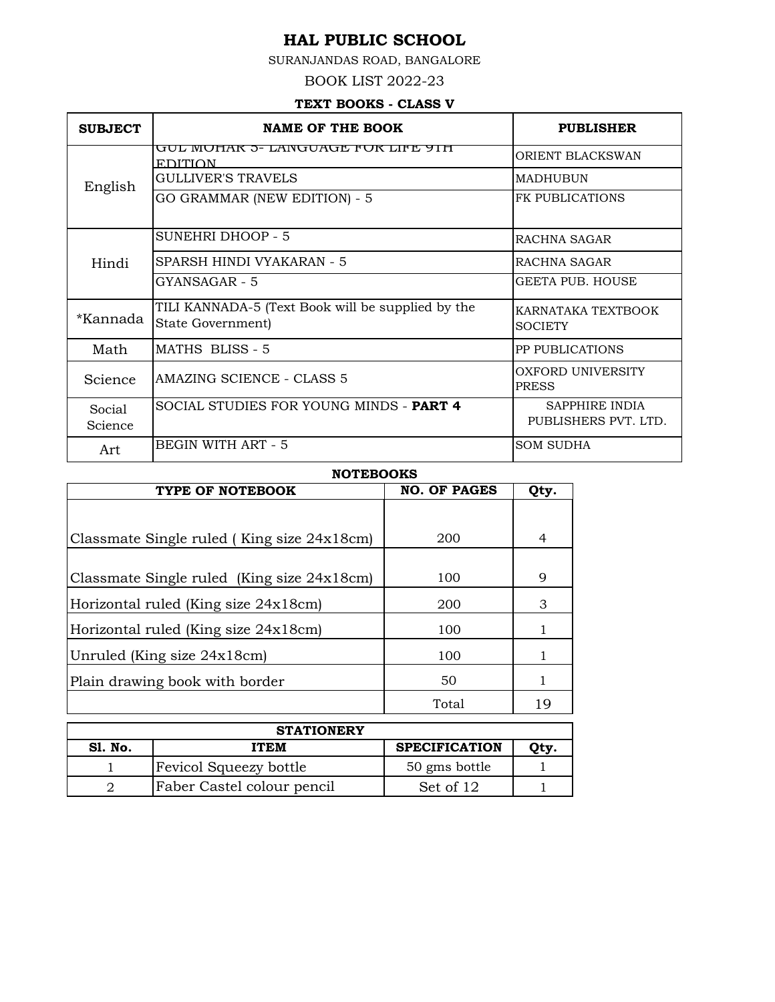SURANJANDAS ROAD, BANGALORE

BOOK LIST 2022-23

## **TEXT BOOKS - CLASS V**

| <b>SUBJECT</b>           | <b>NAME OF THE BOOK</b>                                                | <b>PUBLISHER</b>                       |
|--------------------------|------------------------------------------------------------------------|----------------------------------------|
|                          | <u>GUL MOHAR 5- LANGUAGE FOR LIFE 91H</u><br><b>EDITION</b>            | ORIENT BLACKSWAN                       |
| English                  | <b>GULLIVER'S TRAVELS</b>                                              | <b>MADHUBUN</b>                        |
|                          | GO GRAMMAR (NEW EDITION) - 5                                           | <b>FK PUBLICATIONS</b>                 |
|                          | <b>SUNEHRI DHOOP - 5</b>                                               | RACHNA SAGAR                           |
| Hindi                    | SPARSH HINDI VYAKARAN - 5                                              | RACHNA SAGAR                           |
|                          | GYANSAGAR - 5                                                          | GEETA PUB. HOUSE                       |
| *Kannada                 | TILI KANNADA-5 (Text Book will be supplied by the<br>State Government) | KARNATAKA TEXTBOOK<br><b>SOCIETY</b>   |
| Math                     | MATHS BLISS - 5                                                        | <b>PP PUBLICATIONS</b>                 |
| Science                  | AMAZING SCIENCE - CLASS 5                                              | OXFORD UNIVERSITY<br><b>PRESS</b>      |
| <b>Social</b><br>Science | SOCIAL STUDIES FOR YOUNG MINDS - PART 4                                | SAPPHIRE INDIA<br>PUBLISHERS PVT. LTD. |
| Art                      | BEGIN WITH ART - 5                                                     | <b>SOM SUDHA</b>                       |

#### **NOTEBOOKS**

| TYPE OF NOTEBOOK                           | <b>NO. OF PAGES</b> | Qty. |
|--------------------------------------------|---------------------|------|
|                                            |                     |      |
| Classmate Single ruled (King size 24x18cm) | 200                 | 4    |
|                                            |                     |      |
| Classmate Single ruled (King size 24x18cm) | 100                 | 9    |
| Horizontal ruled (King size 24x18cm)       | 200                 | 3    |
| Horizontal ruled (King size 24x18cm)       | 100                 | 1    |
| Unruled (King size 24x18cm)                | 100                 | 1    |
| Plain drawing book with border             | 50                  | 1    |
|                                            | Total               | 19   |

| <b>STATIONERY</b> |                               |                      |     |
|-------------------|-------------------------------|----------------------|-----|
| <b>S1. No.</b>    | <b>ITEM</b>                   | <b>SPECIFICATION</b> | Otv |
|                   | <b>Fevicol Squeezy bottle</b> | 50 gms bottle        |     |
|                   | Faber Castel colour pencil    | Set of 12            |     |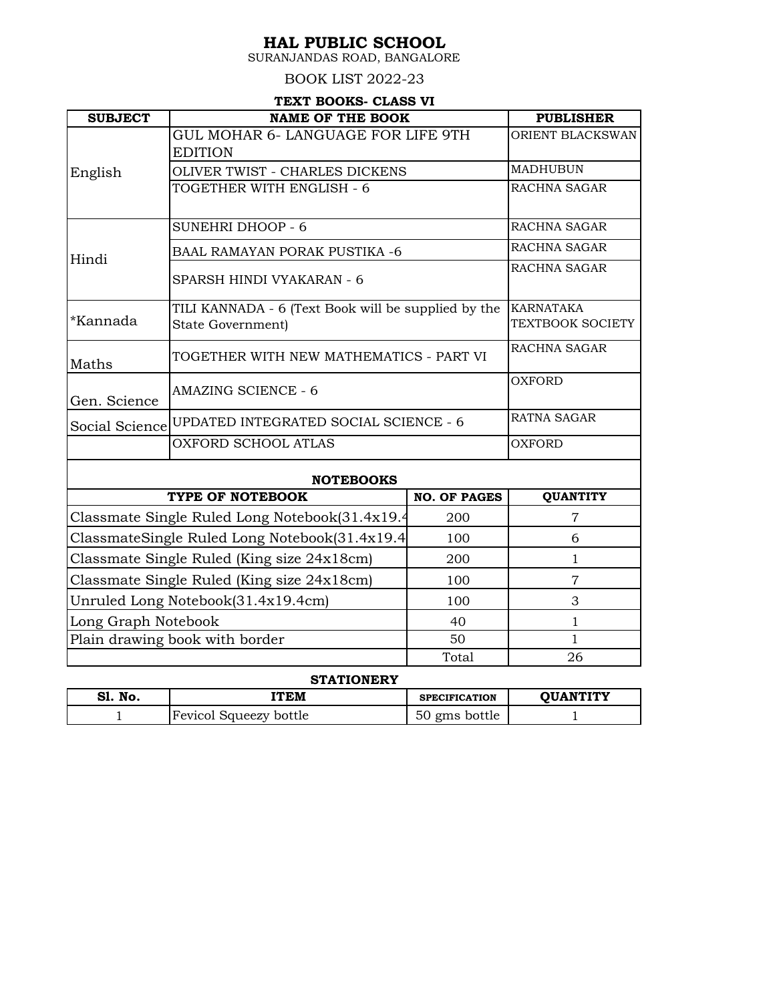SURANJANDAS ROAD, BANGALORE

### BOOK LIST 2022-23

### **TEXT BOOKS- CLASS VI**

| <b>SUBJECT</b>                             | <b>NAME OF THE BOOK</b>                                                  |                     | <b>PUBLISHER</b>                            |
|--------------------------------------------|--------------------------------------------------------------------------|---------------------|---------------------------------------------|
|                                            | GUL MOHAR 6- LANGUAGE FOR LIFE 9TH<br><b>EDITION</b>                     |                     | ORIENT BLACKSWAN                            |
| English                                    | OLIVER TWIST - CHARLES DICKENS                                           |                     | <b>MADHUBUN</b>                             |
|                                            | TOGETHER WITH ENGLISH - 6                                                |                     | RACHNA SAGAR                                |
|                                            | <b>SUNEHRI DHOOP - 6</b>                                                 |                     | RACHNA SAGAR                                |
| Hindi                                      | <b>BAAL RAMAYAN PORAK PUSTIKA -6</b>                                     |                     | RACHNA SAGAR                                |
|                                            | SPARSH HINDI VYAKARAN - 6                                                |                     | RACHNA SAGAR                                |
| *Kannada                                   | TILI KANNADA - 6 (Text Book will be supplied by the<br>State Government) |                     | <b>KARNATAKA</b><br><b>TEXTBOOK SOCIETY</b> |
| Maths                                      | TOGETHER WITH NEW MATHEMATICS - PART VI                                  |                     | RACHNA SAGAR                                |
| Gen. Science                               | <b>AMAZING SCIENCE - 6</b>                                               |                     | <b>OXFORD</b>                               |
| Social Science                             | UPDATED INTEGRATED SOCIAL SCIENCE - 6                                    |                     | <b>RATNA SAGAR</b>                          |
|                                            | <b>OXFORD SCHOOL ATLAS</b>                                               |                     | <b>OXFORD</b>                               |
|                                            | <b>NOTEBOOKS</b>                                                         |                     |                                             |
|                                            | TYPE OF NOTEBOOK                                                         | <b>NO. OF PAGES</b> | <b>QUANTITY</b>                             |
|                                            | Classmate Single Ruled Long Notebook(31.4x19.4                           | 200                 | $\overline{7}$                              |
|                                            | ClassmateSingle Ruled Long Notebook(31.4x19.4)                           | 100                 | 6                                           |
|                                            | Classmate Single Ruled (King size 24x18cm)                               | 200                 | 1                                           |
| Classmate Single Ruled (King size 24x18cm) |                                                                          | 100                 | $\overline{7}$                              |
|                                            | Unruled Long Notebook(31.4x19.4cm)                                       | 100                 | 3                                           |
| Long Graph Notebook                        |                                                                          | 40                  | 1                                           |
|                                            | Plain drawing book with border                                           | 50                  | $\mathbf{1}$                                |
|                                            |                                                                          | Total               | 26                                          |
| $-1$                                       | <b>STATIONERY</b><br>------                                              |                     | -- - ---------                              |

| S1.<br>'No. | ITEM                   | <b>SPECIFICATION</b> | <b>ΟΠΑΝΤΊΤΥ</b> |
|-------------|------------------------|----------------------|-----------------|
|             | Fevicol Squeezy bottle | 50<br>gms bottle     |                 |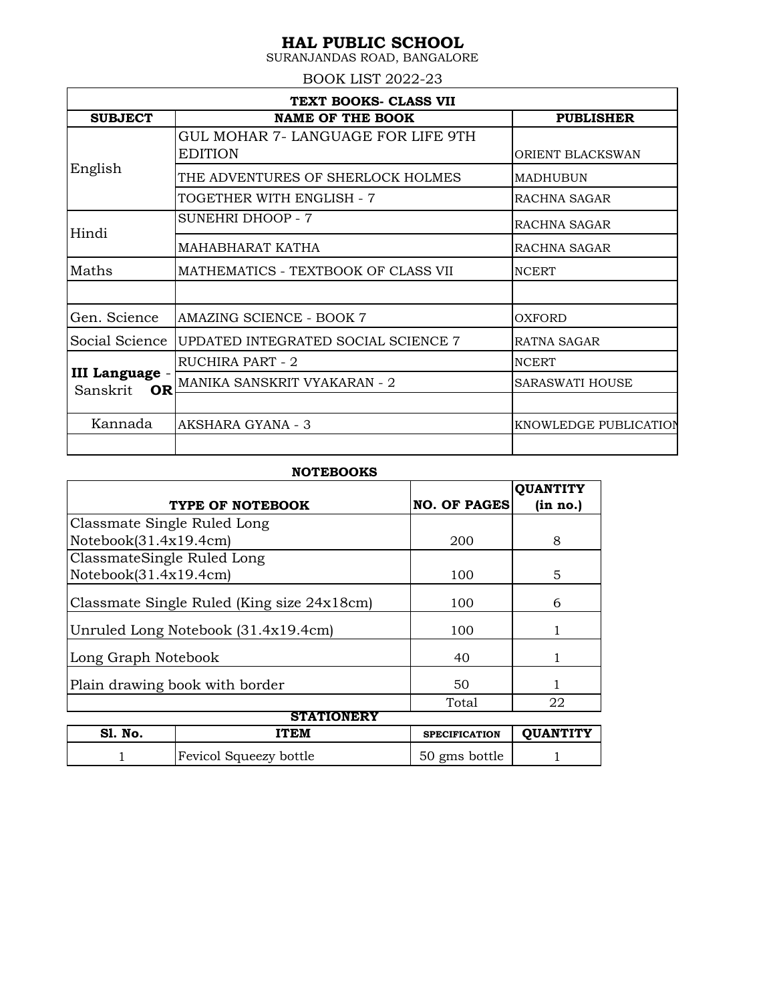SURANJANDAS ROAD, BANGALORE

BOOK LIST 2022-23

| TEXT BOOKS- CLASS VII                   |                                     |                        |  |  |
|-----------------------------------------|-------------------------------------|------------------------|--|--|
| <b>SUBJECT</b>                          | <b>NAME OF THE BOOK</b>             | <b>PUBLISHER</b>       |  |  |
| English                                 | GUL MOHAR 7- LANGUAGE FOR LIFE 9TH  |                        |  |  |
|                                         | <b>EDITION</b>                      | ORIENT BLACKSWAN       |  |  |
|                                         | THE ADVENTURES OF SHERLOCK HOLMES   | <b>MADHUBUN</b>        |  |  |
|                                         | TOGETHER WITH ENGLISH - 7           | RACHNA SAGAR           |  |  |
| Hindi                                   | <b>SUNEHRI DHOOP - 7</b>            | RACHNA SAGAR           |  |  |
|                                         | MAHABHARAT KATHA                    | RACHNA SAGAR           |  |  |
| Maths                                   | MATHEMATICS - TEXTBOOK OF CLASS VII | <b>NCERT</b>           |  |  |
|                                         |                                     |                        |  |  |
| Gen. Science                            | AMAZING SCIENCE - BOOK 7            | OXFORD                 |  |  |
| Social Science                          | UPDATED INTEGRATED SOCIAL SCIENCE 7 | <b>RATNA SAGAR</b>     |  |  |
| III Language -<br><b>OR</b><br>Sanskrit | RUCHIRA PART - 2                    | <b>NCERT</b>           |  |  |
|                                         | MANIKA SANSKRIT VYAKARAN - 2        | <b>SARASWATI HOUSE</b> |  |  |
|                                         |                                     |                        |  |  |
| Kannada                                 | AKSHARA GYANA - 3                   | KNOWLEDGE PUBLICATION  |  |  |
|                                         |                                     |                        |  |  |

#### **NOTEBOOKS**

|                             |                                            |                      | <b>OUANTITY</b> |  |  |
|-----------------------------|--------------------------------------------|----------------------|-----------------|--|--|
|                             | TYPE OF NOTEBOOK                           | <b>NO. OF PAGES</b>  | (in no.)        |  |  |
| Classmate Single Ruled Long |                                            |                      |                 |  |  |
| Notebook(31.4x19.4cm)       |                                            | 200                  | 8               |  |  |
| ClassmateSingle Ruled Long  |                                            |                      |                 |  |  |
| Notebook(31.4x19.4cm)       |                                            | 100                  | 5               |  |  |
|                             | Classmate Single Ruled (King size 24x18cm) | 100                  | 6               |  |  |
|                             | Unruled Long Notebook (31.4x19.4cm)        | 100                  |                 |  |  |
| Long Graph Notebook         |                                            | 40                   |                 |  |  |
|                             | Plain drawing book with border             | 50                   |                 |  |  |
|                             |                                            | Total                | 22              |  |  |
| <b>STATIONERY</b>           |                                            |                      |                 |  |  |
| <b>S1. No.</b>              | ITEM                                       | <b>SPECIFICATION</b> | <b>OUANTITY</b> |  |  |

1 Fevicol Squeezy bottle 50 gms bottle 1